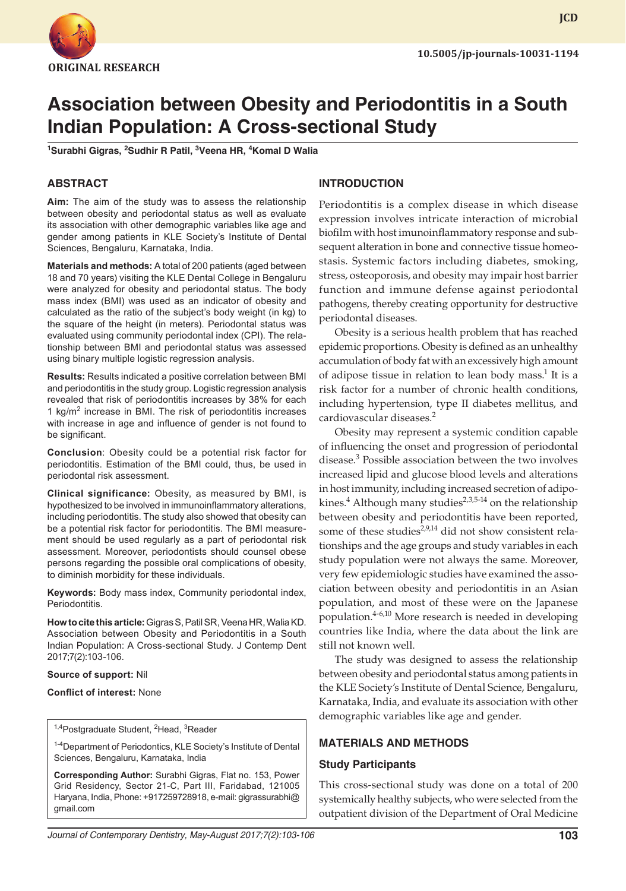

**JCD**

# **Association between Obesity and Periodontitis in a South Indian Population: A Cross-sectional Study**

<sup>1</sup>Surabhi Gigras, <sup>2</sup>Sudhir R Patil, <sup>3</sup>Veena HR, <sup>4</sup>Komal D Walia

### **ABSTRACT**

**Aim:** The aim of the study was to assess the relationship between obesity and periodontal status as well as evaluate its association with other demographic variables like age and gender among patients in KLE Society's Institute of Dental Sciences, Bengaluru, Karnataka, India.

**Materials and methods:** A total of 200 patients (aged between 18 and 70 years) visiting the KLE Dental College in Bengaluru were analyzed for obesity and periodontal status. The body mass index (BMI) was used as an indicator of obesity and calculated as the ratio of the subject's body weight (in kg) to the square of the height (in meters). Periodontal status was evaluated using community periodontal index (CPI). The relationship between BMI and periodontal status was assessed using binary multiple logistic regression analysis.

**Results:** Results indicated a positive correlation between BMI and periodontitis in the study group. Logistic regression analysis revealed that risk of periodontitis increases by 38% for each 1 kg/m<sup>2</sup> increase in BMI. The risk of periodontitis increases with increase in age and influence of gender is not found to be significant.

**Conclusion**: Obesity could be a potential risk factor for periodontitis. Estimation of the BMI could, thus, be used in periodontal risk assessment.

**Clinical significance:** Obesity, as measured by BMI, is hypothesized to be involved in immunoinflammatory alterations, including periodontitis. The study also showed that obesity can be a potential risk factor for periodontitis. The BMI measurement should be used regularly as a part of periodontal risk assessment. Moreover, periodontists should counsel obese persons regarding the possible oral complications of obesity, to diminish morbidity for these individuals.

**Keywords:** Body mass index, Community periodontal index, Periodontitis.

**How to cite this article:** Gigras S, Patil SR, Veena HR, Walia KD. Association between Obesity and Periodontitis in a South Indian Population: A Cross-sectional Study. J Contemp Dent 2017;7(2):103-106.

#### **Source of support:** Nil

#### **Conflict of interest:** None

<sup>1,4</sup>Postgraduate Student, <sup>2</sup>Head, <sup>3</sup>Reader

<sup>1-4</sup>Department of Periodontics, KLE Society's Institute of Dental Sciences, Bengaluru, Karnataka, India

**Corresponding Author:** Surabhi Gigras, Flat no. 153, Power Grid Residency, Sector 21-C, Part III, Faridabad, 121005 Haryana, India, Phone: +917259728918, e-mail: gigrassurabhi@ gmail.com

## **INTRODUCTION**

Periodontitis is a complex disease in which disease expression involves intricate interaction of microbial biofilm with host imunoinflammatory response and subsequent alteration in bone and connective tissue homeostasis. Systemic factors including diabetes, smoking, stress, osteoporosis, and obesity may impair host barrier function and immune defense against periodontal pathogens, thereby creating opportunity for destructive periodontal diseases.

Obesity is a serious health problem that has reached epidemic proportions. Obesity is defined as an unhealthy accumulation of body fat with an excessively high amount of adipose tissue in relation to lean body mass.<sup>1</sup> It is a risk factor for a number of chronic health conditions, including hypertension, type II diabetes mellitus, and cardiovascular diseases.<sup>2</sup>

Obesity may represent a systemic condition capable of influencing the onset and progression of periodontal disease.<sup>3</sup> Possible association between the two involves increased lipid and glucose blood levels and alterations in host immunity, including increased secretion of adipokines.<sup>4</sup> Although many studies<sup>2,3,5-14</sup> on the relationship between obesity and periodontitis have been reported, some of these studies<sup> $2,9,14$ </sup> did not show consistent relationships and the age groups and study variables in each study population were not always the same. Moreover, very few epidemiologic studies have examined the association between obesity and periodontitis in an Asian population, and most of these were on the Japanese population. $4-6,10$  More research is needed in developing countries like India, where the data about the link are still not known well.

The study was designed to assess the relationship between obesity and periodontal status among patients in the KLE Society's Institute of Dental Science, Bengaluru, Karnataka, India, and evaluate its association with other demographic variables like age and gender.

#### **MATERIALS AND METHODS**

#### **Study Participants**

This cross-sectional study was done on a total of 200 systemically healthy subjects, who were selected from the outpatient division of the Department of Oral Medicine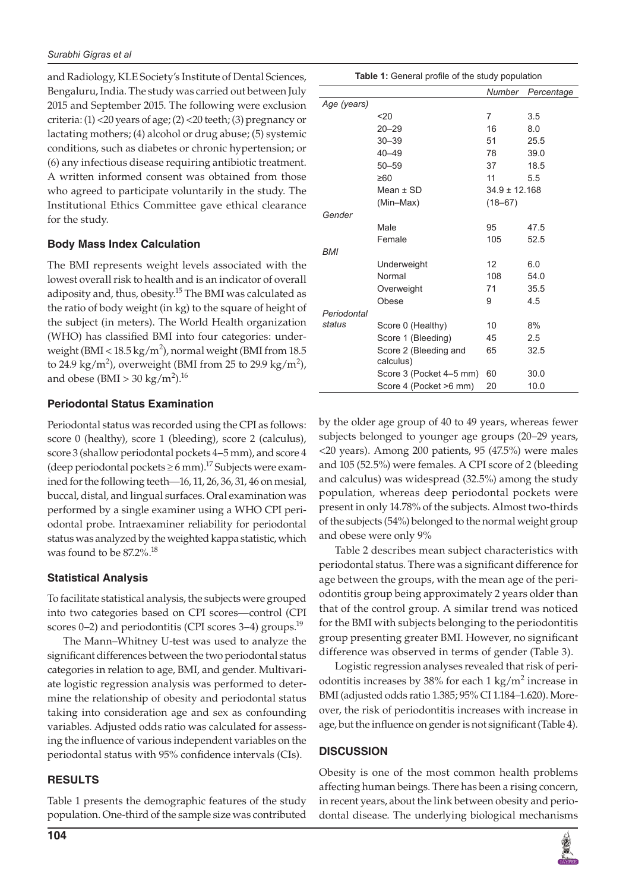and Radiology, KLE Society's Institute of Dental Sciences, Bengaluru, India. The study was carried out between July 2015 and September 2015. The following were exclusion criteria: (1) <20 years of age; (2) <20 teeth; (3) pregnancy or lactating mothers; (4) alcohol or drug abuse; (5) systemic conditions, such as diabetes or chronic hypertension; or (6) any infectious disease requiring antibiotic treatment. A written informed consent was obtained from those who agreed to participate voluntarily in the study. The Institutional Ethics Committee gave ethical clearance for the study.

# **Body Mass Index Calculation**

The BMI represents weight levels associated with the lowest overall risk to health and is an indicator of overall adiposity and, thus, obesity.<sup>15</sup> The BMI was calculated as the ratio of body weight (in kg) to the square of height of the subject (in meters). The World Health organization (WHO) has classified BMI into four categories: underweight (BMI <  $18.5 \text{ kg/m}^2$ ), normal weight (BMI from  $18.5$ to 24.9 kg/m<sup>2</sup>), overweight (BMI from 25 to 29.9 kg/m<sup>2</sup>), and obese (BMI > 30 kg/m<sup>2</sup>).<sup>16</sup>

# **Periodontal Status Examination**

Periodontal status was recorded using the CPI as follows: score 0 (healthy), score 1 (bleeding), score 2 (calculus), score 3 (shallow periodontal pockets 4–5 mm), and score 4 (deep periodontal pockets  $\geq 6$  mm).<sup>17</sup> Subjects were examined for the following teeth—16, 11, 26, 36, 31, 46 on mesial, buccal, distal, and lingual surfaces. Oral examination was performed by a single examiner using a WHO CPI periodontal probe. Intraexaminer reliability for periodontal status was analyzed by the weighted kappa statistic, which was found to be 87.2%.18

# **Statistical Analysis**

To facilitate statistical analysis, the subjects were grouped into two categories based on CPI scores—control (CPI scores  $0-2$ ) and periodontitis (CPI scores  $3-4$ ) groups.<sup>19</sup>

The Mann–Whitney U-test was used to analyze the significant differences between the two periodontal status categories in relation to age, BMI, and gender. Multivariate logistic regression analysis was performed to determine the relationship of obesity and periodontal status taking into consideration age and sex as confounding variables. Adjusted odds ratio was calculated for assessing the influence of various independent variables on the periodontal status with 95% confidence intervals (CIs).

# **RESULTS**

Table 1 presents the demographic features of the study population. One-third of the sample size was contributed

|             |                         | Number            | Percentage |
|-------------|-------------------------|-------------------|------------|
| Age (years) |                         |                   |            |
|             | 20                      | 7                 | 3.5        |
|             | $20 - 29$               | 16                | 8.0        |
|             | $30 - 39$               | 51                | 25.5       |
|             | $40 - 49$               | 78                | 39.0       |
|             | $50 - 59$               | 37                | 18.5       |
|             | ≥60                     | 11                | 5.5        |
|             | $Mean + SD$             | $34.9 \pm 12.168$ |            |
|             | (Min-Max)               | $(18 - 67)$       |            |
| Gender      |                         |                   |            |
|             | Male                    | 95                | 47.5       |
|             | Female                  | 105               | 52.5       |
| <b>BMI</b>  |                         |                   |            |
|             | Underweight             | 12                | 6.0        |
|             | Normal                  | 108               | 54.0       |
|             | Overweight              | 71                | 35.5       |
|             | Obese                   | 9                 | 4.5        |
| Periodontal |                         |                   |            |
| status      | Score 0 (Healthy)       | 10                | 8%         |
|             | Score 1 (Bleeding)      | 45                | 2.5        |
|             | Score 2 (Bleeding and   | 65                | 32.5       |
|             | calculus)               |                   |            |
|             | Score 3 (Pocket 4–5 mm) | 60                | 30.0       |
|             | Score 4 (Pocket >6 mm)  | 20                | 10.0       |

**Table 1:** General profile of the study population

by the older age group of 40 to 49 years, whereas fewer subjects belonged to younger age groups (20–29 years, <20 years). Among 200 patients, 95 (47.5%) were males and 105 (52.5%) were females. A CPI score of 2 (bleeding and calculus) was widespread (32.5%) among the study population, whereas deep periodontal pockets were present in only 14.78% of the subjects. Almost two-thirds of the subjects (54%) belonged to the normal weight group and obese were only 9%

Table 2 describes mean subject characteristics with periodontal status. There was a significant difference for age between the groups, with the mean age of the periodontitis group being approximately 2 years older than that of the control group. A similar trend was noticed for the BMI with subjects belonging to the periodontitis group presenting greater BMI. However, no significant difference was observed in terms of gender (Table 3).

Logistic regression analyses revealed that risk of periodontitis increases by  $38\%$  for each 1 kg/m<sup>2</sup> increase in BMI (adjusted odds ratio 1.385; 95% CI 1.184–1.620). Moreover, the risk of periodontitis increases with increase in age, but the influence on gender is not significant (Table 4).

# **DISCUSSION**

Obesity is one of the most common health problems affecting human beings. There has been a rising concern, in recent years, about the link between obesity and periodontal disease. The underlying biological mechanisms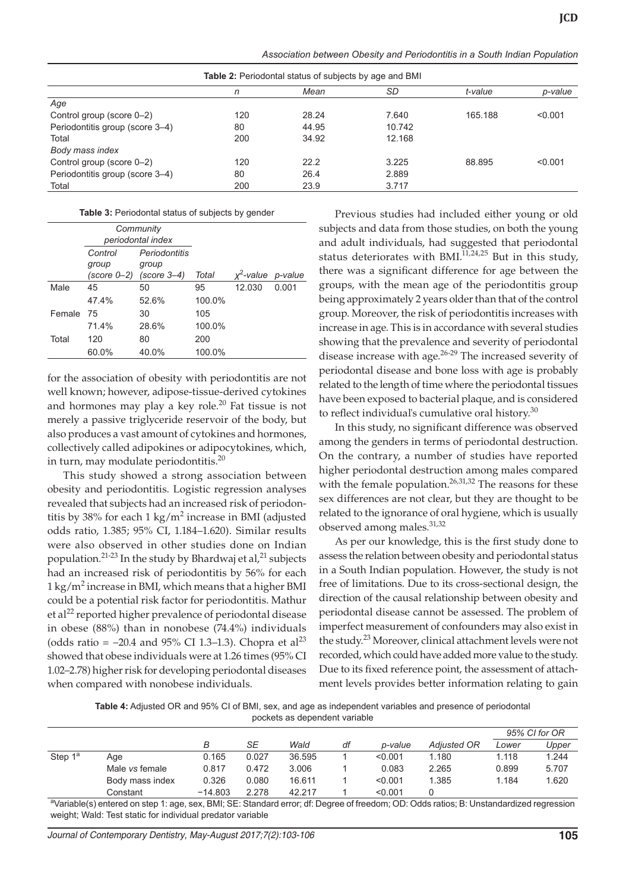| Association between Obesity and Periodontitis in a South Indian Population |  |  |  |  |
|----------------------------------------------------------------------------|--|--|--|--|
|----------------------------------------------------------------------------|--|--|--|--|

| <b>Table 2:</b> Periodontal status of subjects by age and BMI |     |       |        |         |         |  |
|---------------------------------------------------------------|-----|-------|--------|---------|---------|--|
|                                                               | n   | Mean  | SD     | t-value | p-value |  |
| Age                                                           |     |       |        |         |         |  |
| Control group (score 0–2)                                     | 120 | 28.24 | 7.640  | 165.188 | < 0.001 |  |
| Periodontitis group (score 3–4)                               | 80  | 44.95 | 10.742 |         |         |  |
| Total                                                         | 200 | 34.92 | 12.168 |         |         |  |
| Body mass index                                               |     |       |        |         |         |  |
| Control group (score 0-2)                                     | 120 | 22.2  | 3.225  | 88.895  | < 0.001 |  |
| Periodontitis group (score 3-4)                               | 80  | 26.4  | 2.889  |         |         |  |
| Total                                                         | 200 | 23.9  | 3.717  |         |         |  |

|        | Community<br>periodontal index  |                                         |        |                      |       |
|--------|---------------------------------|-----------------------------------------|--------|----------------------|-------|
|        | Control<br>group<br>(score 0–2) | Periodontitis<br>group<br>$(score 3-4)$ | Total  | $x^2$ -value p-value |       |
| Male   | 45                              | 50                                      | 95     | 12.030               | 0.001 |
|        | 47.4%                           | 52.6%                                   | 100.0% |                      |       |
| Female | 75                              | 30                                      | 105    |                      |       |
|        | 71.4%                           | 28.6%                                   | 100.0% |                      |       |
| Total  | 120                             | 80                                      | 200    |                      |       |
|        | 60.0%                           | 40.0%                                   | 100.0% |                      |       |

for the association of obesity with periodontitis are not well known; however, adipose-tissue-derived cytokines and hormones may play a key role.<sup>20</sup> Fat tissue is not merely a passive triglyceride reservoir of the body, but also produces a vast amount of cytokines and hormones, collectively called adipokines or adipocytokines, which, in turn, may modulate periodontitis.<sup>20</sup>

This study showed a strong association between obesity and periodontitis. Logistic regression analyses revealed that subjects had an increased risk of periodontitis by 38% for each  $1 \text{ kg/m}^2$  increase in BMI (adjusted odds ratio, 1.385; 95% CI, 1.184–1.620). Similar results were also observed in other studies done on Indian population.<sup>21-23</sup> In the study by Bhardwaj et al,<sup>21</sup> subjects had an increased risk of periodontitis by 56% for each  $1 \text{ kg/m}^2$  increase in BMI, which means that a higher BMI could be a potential risk factor for periodontitis. Mathur et al<sup>22</sup> reported higher prevalence of periodontal disease in obese (88%) than in nonobese (74.4%) individuals (odds ratio =  $-20.4$  and 95% CI 1.3–1.3). Chopra et al<sup>23</sup> showed that obese individuals were at 1.26 times (95% CI 1.02–2.78) higher risk for developing periodontal diseases when compared with nonobese individuals.

Previous studies had included either young or old subjects and data from those studies, on both the young and adult individuals, had suggested that periodontal status deteriorates with BMI. $11,24,25$  But in this study, there was a significant difference for age between the groups, with the mean age of the periodontitis group being approximately 2 years older than that of the control group. Moreover, the risk of periodontitis increases with increase in age. This is in accordance with several studies showing that the prevalence and severity of periodontal disease increase with age.<sup>26-29</sup> The increased severity of periodontal disease and bone loss with age is probably related to the length of time where the periodontal tissues have been exposed to bacterial plaque, and is considered to reflect individual's cumulative oral history. $30$ 

In this study, no significant difference was observed among the genders in terms of periodontal destruction. On the contrary, a number of studies have reported higher periodontal destruction among males compared with the female population.<sup>26,31,32</sup> The reasons for these sex differences are not clear, but they are thought to be related to the ignorance of oral hygiene, which is usually observed among males.31,32

As per our knowledge, this is the first study done to assess the relation between obesity and periodontal status in a South Indian population. However, the study is not free of limitations. Due to its cross-sectional design, the direction of the causal relationship between obesity and periodontal disease cannot be assessed. The problem of imperfect measurement of confounders may also exist in the study.<sup>23</sup> Moreover, clinical attachment levels were not recorded, which could have added more value to the study. Due to its fixed reference point, the assessment of attachment levels provides better information relating to gain

**Table 4:** Adjusted OR and 95% CI of BMI, sex, and age as independent variables and presence of periodontal pockets as dependent variable

|                     |                       |           |       |        |    |         |                    | 95% CI for OR |       |
|---------------------|-----------------------|-----------|-------|--------|----|---------|--------------------|---------------|-------|
|                     |                       | В         | SE    | Wald   | df | p-value | <b>Adiusted OR</b> | Lower         | Upper |
| Step 1 <sup>a</sup> | Age                   | 0.165     | 0.027 | 36.595 |    | < 0.001 | 1.180              | 1.118         | 1.244 |
|                     | Male <i>vs</i> female | 0.817     | 0.472 | 3.006  |    | 0.083   | 2.265              | 0.899         | 5.707 |
|                     | Body mass index       | 0.326     | 0.080 | 16.611 |    | < 0.001 | 1.385              | 1.184         | 1.620 |
|                     | Constant              | $-14.803$ | 2.278 | 42.217 |    | < 0.001 |                    |               |       |

<sup>a</sup>Variable(s) entered on step 1: age, sex, BMI; SE: Standard error; df: Degree of freedom; OD: Odds ratios; B: Unstandardized regression weight; Wald: Test static for individual predator variable

*Journal of Contemporary Dentistry, May-August 2017;7(2):103-106* **105**